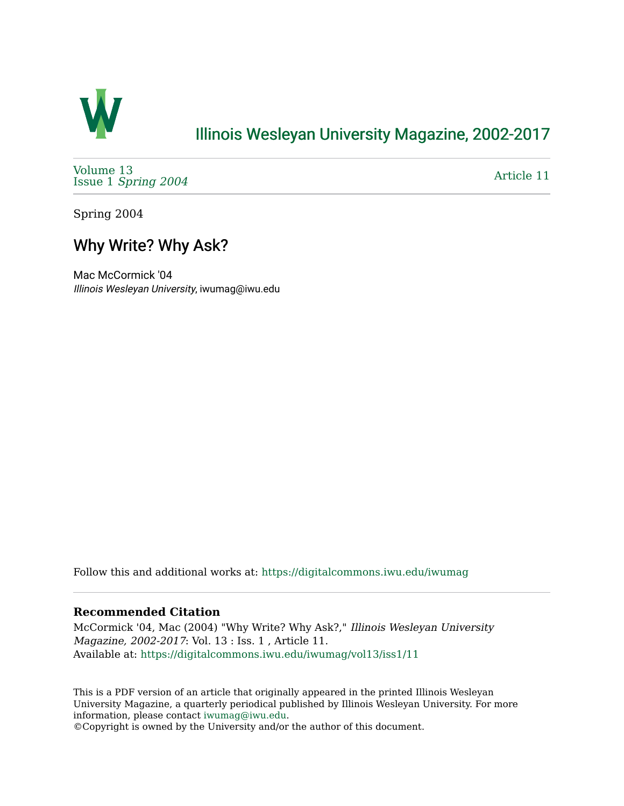

## [Illinois Wesleyan University Magazine, 2002-2017](https://digitalcommons.iwu.edu/iwumag)

[Volume 13](https://digitalcommons.iwu.edu/iwumag/vol13)  Issue 1 [Spring 2004](https://digitalcommons.iwu.edu/iwumag/vol13/iss1)

[Article 11](https://digitalcommons.iwu.edu/iwumag/vol13/iss1/11) 

Spring 2004

## Why Write? Why Ask?

Mac McCormick '04 Illinois Wesleyan University, iwumag@iwu.edu

Follow this and additional works at: [https://digitalcommons.iwu.edu/iwumag](https://digitalcommons.iwu.edu/iwumag?utm_source=digitalcommons.iwu.edu%2Fiwumag%2Fvol13%2Fiss1%2F11&utm_medium=PDF&utm_campaign=PDFCoverPages) 

## **Recommended Citation**

McCormick '04, Mac (2004) "Why Write? Why Ask?," Illinois Wesleyan University Magazine, 2002-2017: Vol. 13 : Iss. 1 , Article 11. Available at: [https://digitalcommons.iwu.edu/iwumag/vol13/iss1/11](https://digitalcommons.iwu.edu/iwumag/vol13/iss1/11?utm_source=digitalcommons.iwu.edu%2Fiwumag%2Fvol13%2Fiss1%2F11&utm_medium=PDF&utm_campaign=PDFCoverPages) 

This is a PDF version of an article that originally appeared in the printed Illinois Wesleyan University Magazine, a quarterly periodical published by Illinois Wesleyan University. For more information, please contact [iwumag@iwu.edu](mailto:iwumag@iwu.edu).

©Copyright is owned by the University and/or the author of this document.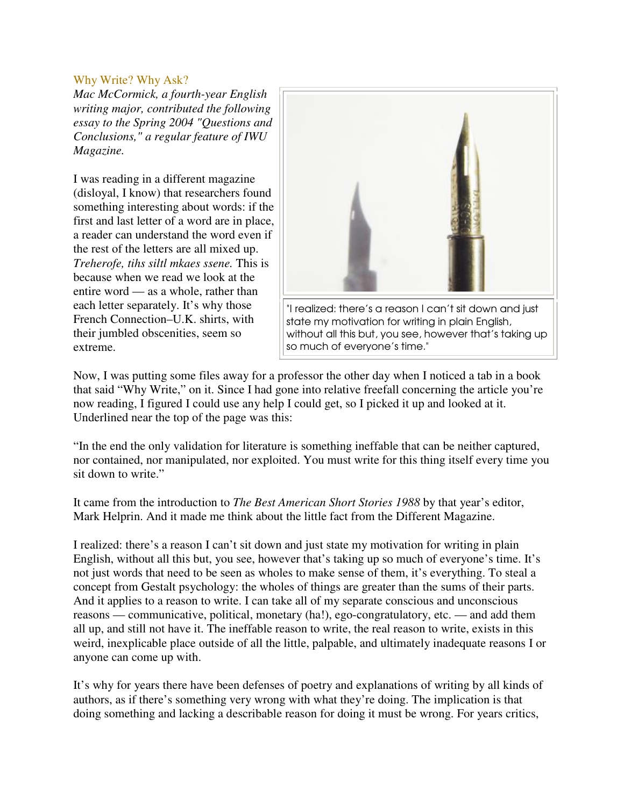## Why Write? Why Ask?

*Mac McCormick, a fourth-year English writing major, contributed the following essay to the Spring 2004 "Questions and Conclusions," a regular feature of IWU Magazine.*

I was reading in a different magazine (disloyal, I know) that researchers found something interesting about words: if the first and last letter of a word are in place, a reader can understand the word even if the rest of the letters are all mixed up. *Treherofe, tihs siltl mkaes ssene.* This is because when we read we look at the entire word — as a whole, rather than each letter separately. It's why those French Connection–U.K. shirts, with their jumbled obscenities, seem so extreme.



Now, I was putting some files away for a professor the other day when I noticed a tab in a book that said "Why Write," on it. Since I had gone into relative freefall concerning the article you're now reading, I figured I could use any help I could get, so I picked it up and looked at it. Underlined near the top of the page was this:

"In the end the only validation for literature is something ineffable that can be neither captured, nor contained, nor manipulated, nor exploited. You must write for this thing itself every time you sit down to write."

It came from the introduction to *The Best American Short Stories 1988* by that year's editor, Mark Helprin. And it made me think about the little fact from the Different Magazine.

I realized: there's a reason I can't sit down and just state my motivation for writing in plain English, without all this but, you see, however that's taking up so much of everyone's time. It's not just words that need to be seen as wholes to make sense of them, it's everything. To steal a concept from Gestalt psychology: the wholes of things are greater than the sums of their parts. And it applies to a reason to write. I can take all of my separate conscious and unconscious reasons — communicative, political, monetary (ha!), ego-congratulatory, etc. — and add them all up, and still not have it. The ineffable reason to write, the real reason to write, exists in this weird, inexplicable place outside of all the little, palpable, and ultimately inadequate reasons I or anyone can come up with.

It's why for years there have been defenses of poetry and explanations of writing by all kinds of authors, as if there's something very wrong with what they're doing. The implication is that doing something and lacking a describable reason for doing it must be wrong. For years critics,